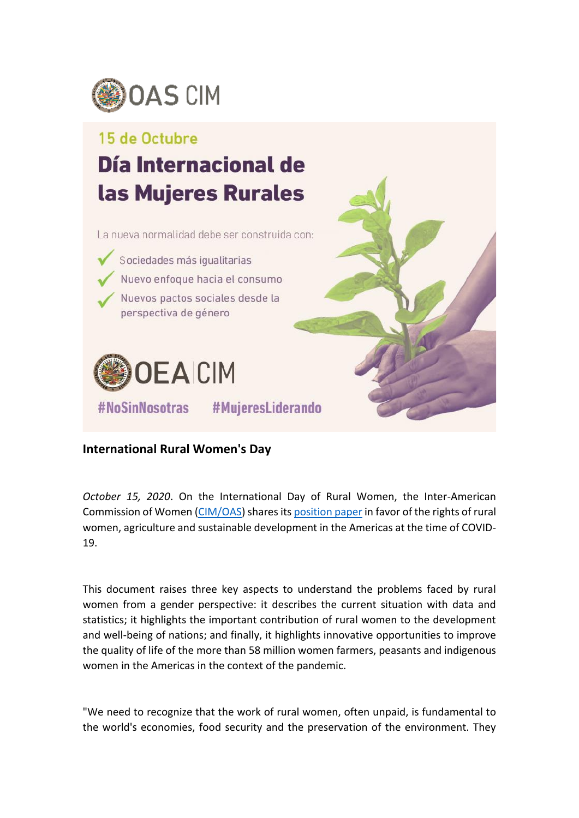

## 15 de Octubre

## Día Internacional de las Mujeres Rurales

La nueva normalidad debe ser construida con:

Sociedades más igualitarias Nuevo enfoque hacia el consumo Nuevos pactos sociales desde la perspectiva de género



#NoSinNosotras #MujeresLiderando

## **International Rural Women's Day**

*October 15, 2020*. On the International Day of Rural Women, the Inter-American Commission of Women [\(CIM/OAS\)](http://www.oas.org/en/cim/default.asp) shares it[s position paper](http://www.oas.org/en/cim/docs/DocumentoPosicion-MujeresRurales-FINAL-EN.pdf) in favor of the rights of rural women, agriculture and sustainable development in the Americas at the time of COVID-19.

This document raises three key aspects to understand the problems faced by rural women from a gender perspective: it describes the current situation with data and statistics; it highlights the important contribution of rural women to the development and well-being of nations; and finally, it highlights innovative opportunities to improve the quality of life of the more than 58 million women farmers, peasants and indigenous women in the Americas in the context of the pandemic.

"We need to recognize that the work of rural women, often unpaid, is fundamental to the world's economies, food security and the preservation of the environment. They